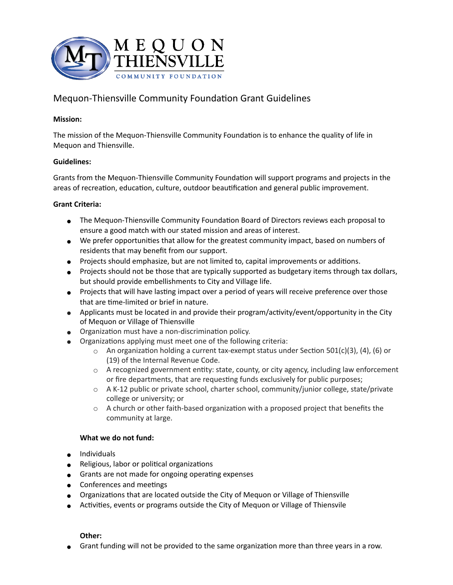

# Mequon-Thiensville Community Foundation Grant Guidelines

### **Mission:**

The mission of the Mequon-Thiensville Community Foundation is to enhance the quality of life in Mequon and Thiensville.

#### **Guidelines:**

Grants from the Mequon-Thiensville Community Foundation will support programs and projects in the areas of recreation, education, culture, outdoor beautification and general public improvement.

#### **Grant Criteria:**

- The Mequon-Thiensville Community Foundation Board of Directors reviews each proposal to ensure a good match with our stated mission and areas of interest.
- We prefer opportunities that allow for the greatest community impact, based on numbers of residents that may benefit from our support.
- Projects should emphasize, but are not limited to, capital improvements or additions.
- Projects should not be those that are typically supported as budgetary items through tax dollars, but should provide embellishments to City and Village life.
- Projects that will have lasting impact over a period of years will receive preference over those that are time-limited or brief in nature.
- Applicants must be located in and provide their program/activity/event/opportunity in the City of Mequon or Village of Thiensville
- Organization must have a non-discrimination policy.
- Organizations applying must meet one of the following criteria:
	- $\circ$  An organization holding a current tax-exempt status under Section 501(c)(3), (4), (6) or (19) of the Internal Revenue Code.
	- o A recognized government entity: state, county, or city agency, including law enforcement or fire departments, that are requesting funds exclusively for public purposes;
	- o A K-12 public or private school, charter school, community/junior college, state/private college or university; or
	- $\circ$  A church or other faith-based organization with a proposed project that benefits the community at large.

## **What we do not fund:**

- Individuals
- Religious, labor or political organizations
- Grants are not made for ongoing operating expenses
- Conferences and meetings
- Organizations that are located outside the City of Mequon or Village of Thiensville
- Activities, events or programs outside the City of Mequon or Village of Thiensvile

## **Other:**

● Grant funding will not be provided to the same organization more than three years in a row.